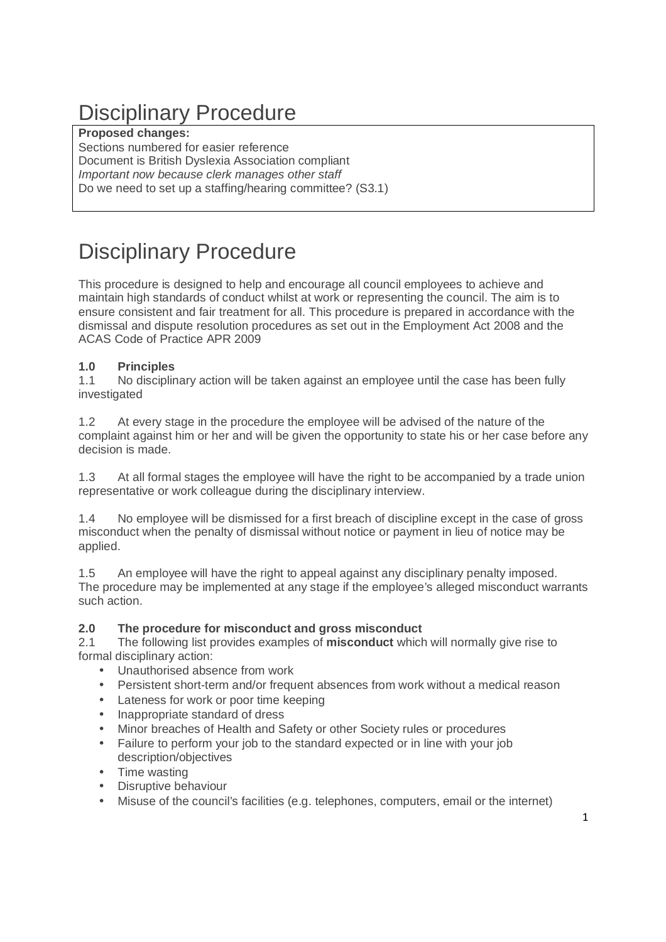# Disciplinary Procedure

#### **Proposed changes:**

Sections numbered for easier reference Document is British Dyslexia Association compliant Important now because clerk manages other staff Do we need to set up a staffing/hearing committee? (S3.1)

# Disciplinary Procedure

This procedure is designed to help and encourage all council employees to achieve and maintain high standards of conduct whilst at work or representing the council. The aim is to ensure consistent and fair treatment for all. This procedure is prepared in accordance with the dismissal and dispute resolution procedures as set out in the Employment Act 2008 and the ACAS Code of Practice APR 2009

# **1.0 Principles**

1.1 No disciplinary action will be taken against an employee until the case has been fully investigated

1.2 At every stage in the procedure the employee will be advised of the nature of the complaint against him or her and will be given the opportunity to state his or her case before any decision is made.

1.3 At all formal stages the employee will have the right to be accompanied by a trade union representative or work colleague during the disciplinary interview.

1.4 No employee will be dismissed for a first breach of discipline except in the case of gross misconduct when the penalty of dismissal without notice or payment in lieu of notice may be applied.

1.5 An employee will have the right to appeal against any disciplinary penalty imposed. The procedure may be implemented at any stage if the employee's alleged misconduct warrants such action.

## **2.0 The procedure for misconduct and gross misconduct**

2.1 The following list provides examples of **misconduct** which will normally give rise to formal disciplinary action:

- Unauthorised absence from work
- Persistent short-term and/or frequent absences from work without a medical reason
- Lateness for work or poor time keeping
- Inappropriate standard of dress
- Minor breaches of Health and Safety or other Society rules or procedures
- Failure to perform your job to the standard expected or in line with your job description/objectives
- Time wasting
- Disruptive behaviour
- Misuse of the council's facilities (e.g. telephones, computers, email or the internet)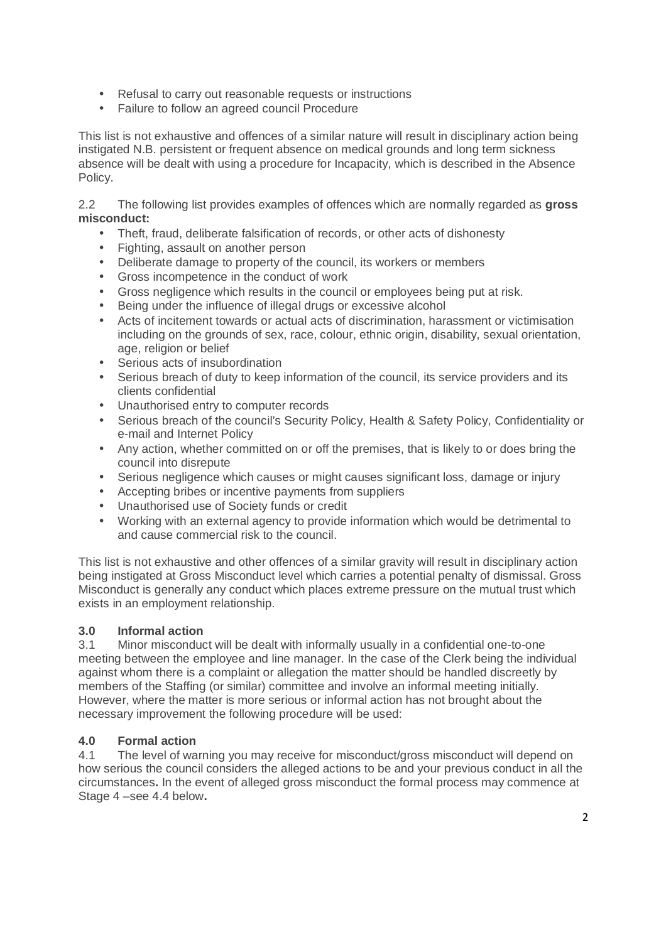- Refusal to carry out reasonable requests or instructions
- Failure to follow an agreed council Procedure

This list is not exhaustive and offences of a similar nature will result in disciplinary action being instigated N.B. persistent or frequent absence on medical grounds and long term sickness absence will be dealt with using a procedure for Incapacity, which is described in the Absence Policy.

2.2 The following list provides examples of offences which are normally regarded as **gross misconduct:** 

- Theft, fraud, deliberate falsification of records, or other acts of dishonesty
- Fighting, assault on another person
- Deliberate damage to property of the council, its workers or members
- Gross incompetence in the conduct of work
- Gross negligence which results in the council or employees being put at risk.
- Being under the influence of illegal drugs or excessive alcohol
- Acts of incitement towards or actual acts of discrimination, harassment or victimisation including on the grounds of sex, race, colour, ethnic origin, disability, sexual orientation, age, religion or belief
- Serious acts of insubordination
- Serious breach of duty to keep information of the council, its service providers and its clients confidential
- Unauthorised entry to computer records
- Serious breach of the council's Security Policy, Health & Safety Policy, Confidentiality or e-mail and Internet Policy
- Any action, whether committed on or off the premises, that is likely to or does bring the council into disrepute
- Serious negligence which causes or might causes significant loss, damage or injury
- Accepting bribes or incentive payments from suppliers
- Unauthorised use of Society funds or credit
- Working with an external agency to provide information which would be detrimental to and cause commercial risk to the council.

This list is not exhaustive and other offences of a similar gravity will result in disciplinary action being instigated at Gross Misconduct level which carries a potential penalty of dismissal. Gross Misconduct is generally any conduct which places extreme pressure on the mutual trust which exists in an employment relationship.

#### **3.0 Informal action**

3.1 Minor misconduct will be dealt with informally usually in a confidential one-to-one meeting between the employee and line manager. In the case of the Clerk being the individual against whom there is a complaint or allegation the matter should be handled discreetly by members of the Staffing (or similar) committee and involve an informal meeting initially. However, where the matter is more serious or informal action has not brought about the necessary improvement the following procedure will be used:

#### **4.0 Formal action**

4.1 The level of warning you may receive for misconduct/gross misconduct will depend on how serious the council considers the alleged actions to be and your previous conduct in all the circumstances**.** In the event of alleged gross misconduct the formal process may commence at Stage 4 –see 4.4 below**.**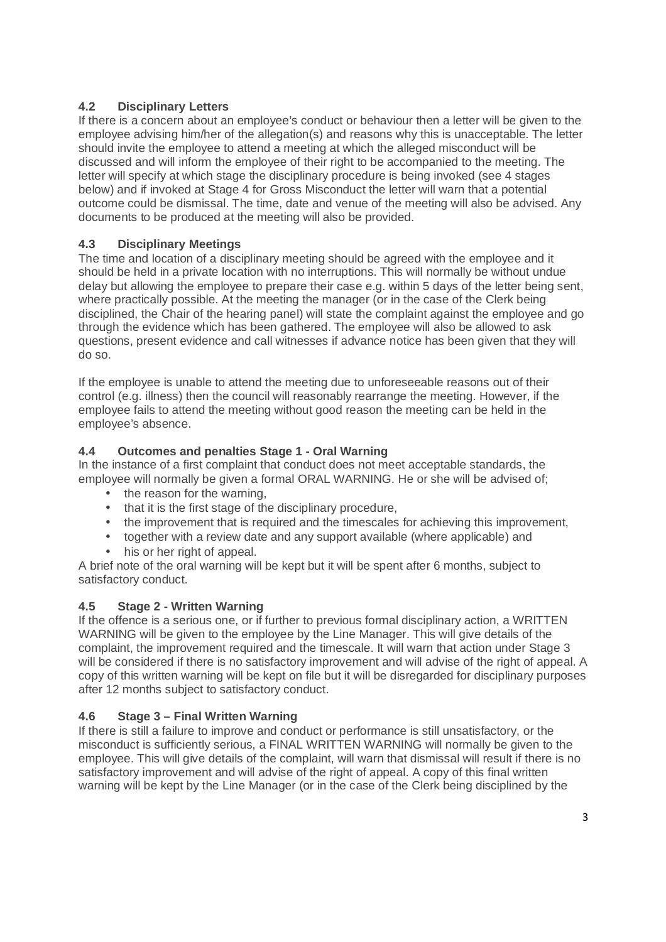# **4.2 Disciplinary Letters**

If there is a concern about an employee's conduct or behaviour then a letter will be given to the employee advising him/her of the allegation(s) and reasons why this is unacceptable. The letter should invite the employee to attend a meeting at which the alleged misconduct will be discussed and will inform the employee of their right to be accompanied to the meeting. The letter will specify at which stage the disciplinary procedure is being invoked (see 4 stages below) and if invoked at Stage 4 for Gross Misconduct the letter will warn that a potential outcome could be dismissal. The time, date and venue of the meeting will also be advised. Any documents to be produced at the meeting will also be provided.

## **4.3 Disciplinary Meetings**

The time and location of a disciplinary meeting should be agreed with the employee and it should be held in a private location with no interruptions. This will normally be without undue delay but allowing the employee to prepare their case e.g. within 5 days of the letter being sent, where practically possible. At the meeting the manager (or in the case of the Clerk being disciplined, the Chair of the hearing panel) will state the complaint against the employee and go through the evidence which has been gathered. The employee will also be allowed to ask questions, present evidence and call witnesses if advance notice has been given that they will do so.

If the employee is unable to attend the meeting due to unforeseeable reasons out of their control (e.g. illness) then the council will reasonably rearrange the meeting. However, if the employee fails to attend the meeting without good reason the meeting can be held in the employee's absence.

## **4.4 Outcomes and penalties Stage 1 - Oral Warning**

In the instance of a first complaint that conduct does not meet acceptable standards, the employee will normally be given a formal ORAL WARNING. He or she will be advised of;

- the reason for the warning,
- that it is the first stage of the disciplinary procedure,
- the improvement that is required and the timescales for achieving this improvement,
- together with a review date and any support available (where applicable) and
- his or her right of appeal.

A brief note of the oral warning will be kept but it will be spent after 6 months, subject to satisfactory conduct.

## **4.5 Stage 2 - Written Warning**

If the offence is a serious one, or if further to previous formal disciplinary action, a WRITTEN WARNING will be given to the employee by the Line Manager. This will give details of the complaint, the improvement required and the timescale. It will warn that action under Stage 3 will be considered if there is no satisfactory improvement and will advise of the right of appeal. A copy of this written warning will be kept on file but it will be disregarded for disciplinary purposes after 12 months subject to satisfactory conduct.

## **4.6 Stage 3 – Final Written Warning**

If there is still a failure to improve and conduct or performance is still unsatisfactory, or the misconduct is sufficiently serious, a FINAL WRITTEN WARNING will normally be given to the employee. This will give details of the complaint, will warn that dismissal will result if there is no satisfactory improvement and will advise of the right of appeal. A copy of this final written warning will be kept by the Line Manager (or in the case of the Clerk being disciplined by the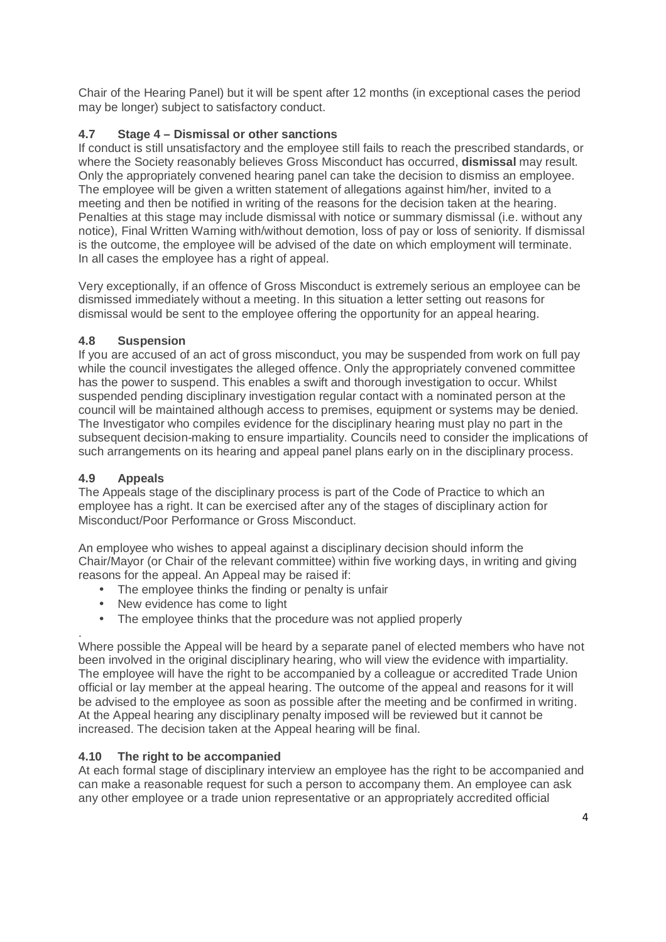Chair of the Hearing Panel) but it will be spent after 12 months (in exceptional cases the period may be longer) subject to satisfactory conduct.

# **4.7 Stage 4 – Dismissal or other sanctions**

If conduct is still unsatisfactory and the employee still fails to reach the prescribed standards, or where the Society reasonably believes Gross Misconduct has occurred, **dismissal** may result. Only the appropriately convened hearing panel can take the decision to dismiss an employee. The employee will be given a written statement of allegations against him/her, invited to a meeting and then be notified in writing of the reasons for the decision taken at the hearing. Penalties at this stage may include dismissal with notice or summary dismissal (i.e. without any notice), Final Written Warning with/without demotion, loss of pay or loss of seniority. If dismissal is the outcome, the employee will be advised of the date on which employment will terminate. In all cases the employee has a right of appeal.

Very exceptionally, if an offence of Gross Misconduct is extremely serious an employee can be dismissed immediately without a meeting. In this situation a letter setting out reasons for dismissal would be sent to the employee offering the opportunity for an appeal hearing.

#### **4.8 Suspension**

If you are accused of an act of gross misconduct, you may be suspended from work on full pay while the council investigates the alleged offence. Only the appropriately convened committee has the power to suspend. This enables a swift and thorough investigation to occur. Whilst suspended pending disciplinary investigation regular contact with a nominated person at the council will be maintained although access to premises, equipment or systems may be denied. The Investigator who compiles evidence for the disciplinary hearing must play no part in the subsequent decision-making to ensure impartiality. Councils need to consider the implications of such arrangements on its hearing and appeal panel plans early on in the disciplinary process.

#### **4.9 Appeals**

.

The Appeals stage of the disciplinary process is part of the Code of Practice to which an employee has a right. It can be exercised after any of the stages of disciplinary action for Misconduct/Poor Performance or Gross Misconduct.

An employee who wishes to appeal against a disciplinary decision should inform the Chair/Mayor (or Chair of the relevant committee) within five working days, in writing and giving reasons for the appeal. An Appeal may be raised if:

- The employee thinks the finding or penalty is unfair
- New evidence has come to light
- The employee thinks that the procedure was not applied properly

Where possible the Appeal will be heard by a separate panel of elected members who have not been involved in the original disciplinary hearing, who will view the evidence with impartiality. The employee will have the right to be accompanied by a colleague or accredited Trade Union official or lay member at the appeal hearing. The outcome of the appeal and reasons for it will be advised to the employee as soon as possible after the meeting and be confirmed in writing. At the Appeal hearing any disciplinary penalty imposed will be reviewed but it cannot be increased. The decision taken at the Appeal hearing will be final.

#### **4.10 The right to be accompanied**

At each formal stage of disciplinary interview an employee has the right to be accompanied and can make a reasonable request for such a person to accompany them. An employee can ask any other employee or a trade union representative or an appropriately accredited official